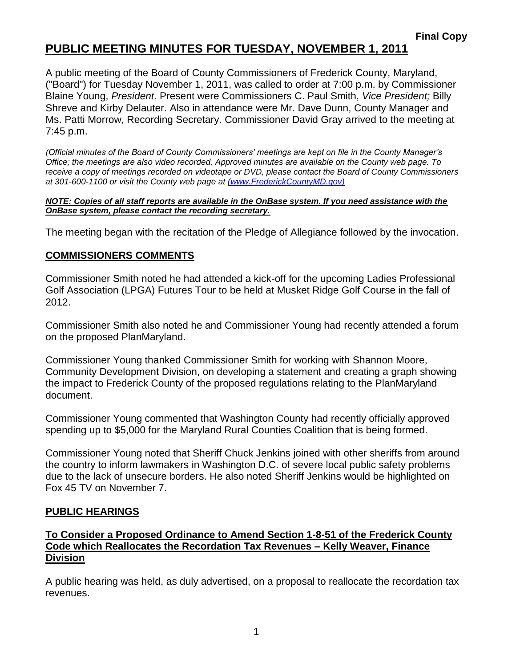# **PUBLIC MEETING MINUTES FOR TUESDAY, NOVEMBER 1, 2011**

A public meeting of the Board of County Commissioners of Frederick County, Maryland, ("Board") for Tuesday November 1, 2011, was called to order at 7:00 p.m. by Commissioner Blaine Young, *President*. Present were Commissioners C. Paul Smith, *Vice President;* Billy Shreve and Kirby Delauter. Also in attendance were Mr. Dave Dunn, County Manager and Ms. Patti Morrow, Recording Secretary. Commissioner David Gray arrived to the meeting at 7:45 p.m.

*(Official minutes of the Board of County Commissioners' meetings are kept on file in the County Manager's Office; the meetings are also video recorded. Approved minutes are available on the County web page. To receive a copy of meetings recorded on videotape or DVD, please contact the Board of County Commissioners at 301-600-1100 or visit the County web page at [\(www.FrederickCountyMD.gov\)](file://NT1S5/BOCC/BOCC/BOCC%20Minutes/Patti)*

#### *NOTE: Copies of all staff reports are available in the OnBase system. If you need assistance with the OnBase system, please contact the recording secretary.*

The meeting began with the recitation of the Pledge of Allegiance followed by the invocation.

### **COMMISSIONERS COMMENTS**

Commissioner Smith noted he had attended a kick-off for the upcoming Ladies Professional Golf Association (LPGA) Futures Tour to be held at Musket Ridge Golf Course in the fall of 2012.

Commissioner Smith also noted he and Commissioner Young had recently attended a forum on the proposed PlanMaryland.

Commissioner Young thanked Commissioner Smith for working with Shannon Moore, Community Development Division, on developing a statement and creating a graph showing the impact to Frederick County of the proposed regulations relating to the PlanMaryland document.

Commissioner Young commented that Washington County had recently officially approved spending up to \$5,000 for the Maryland Rural Counties Coalition that is being formed.

Commissioner Young noted that Sheriff Chuck Jenkins joined with other sheriffs from around the country to inform lawmakers in Washington D.C. of severe local public safety problems due to the lack of unsecure borders. He also noted Sheriff Jenkins would be highlighted on Fox 45 TV on November 7.

#### **PUBLIC HEARINGS**

#### **To Consider a Proposed Ordinance to Amend Section 1-8-51 of the Frederick County Code which Reallocates the Recordation Tax Revenues – Kelly Weaver, Finance Division**

A public hearing was held, as duly advertised, on a proposal to reallocate the recordation tax revenues.